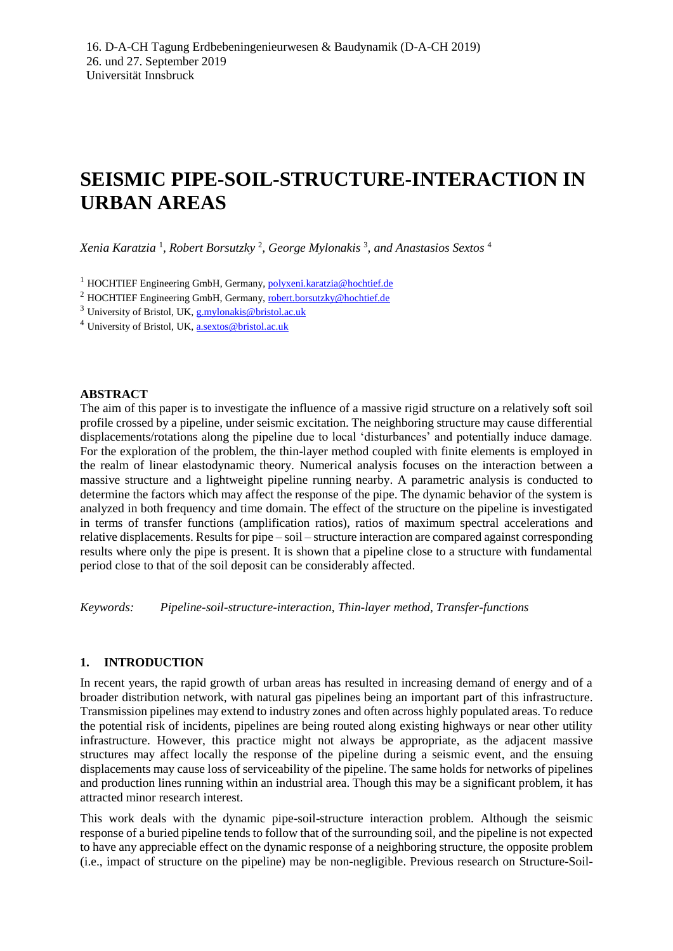# **SEISMIC PIPE-SOIL-STRUCTURE-INTERACTION IN URBAN AREAS**

*Xenia Karatzia* <sup>1</sup> *, Robert Borsutzky* <sup>2</sup> *, George Mylonakis* <sup>3</sup> *, and Anastasios Sextos* <sup>4</sup>

<sup>1</sup> HOCHTIEF Engineering GmbH, Germany, polyxeni.karatzia@hochtief.de

<sup>2</sup> HOCHTIEF Engineering GmbH, Germany, robert.borsutzky@hochtief.de

<sup>3</sup> University of Bristol, UK[, g.mylonakis@bristol.ac.uk](mailto:g.mylonakis@bristol.ac.uk)

<sup>4</sup> University of Bristol, UK, a.sextos@bristol.ac.uk

## **ABSTRACT**

The aim of this paper is to investigate the influence of a massive rigid structure on a relatively soft soil profile crossed by a pipeline, under seismic excitation. The neighboring structure may cause differential displacements/rotations along the pipeline due to local 'disturbances' and potentially induce damage. For the exploration of the problem, the thin-layer method coupled with finite elements is employed in the realm of linear elastodynamic theory. Numerical analysis focuses on the interaction between a massive structure and a lightweight pipeline running nearby. A parametric analysis is conducted to determine the factors which may affect the response of the pipe. The dynamic behavior of the system is analyzed in both frequency and time domain. The effect of the structure on the pipeline is investigated in terms of transfer functions (amplification ratios), ratios of maximum spectral accelerations and relative displacements. Results for pipe – soil – structure interaction are compared against corresponding results where only the pipe is present. It is shown that a pipeline close to a structure with fundamental period close to that of the soil deposit can be considerably affected.

*Keywords: Pipeline-soil-structure-interaction, Thin-layer method, Transfer-functions*

## **1. INTRODUCTION**

In recent years, the rapid growth of urban areas has resulted in increasing demand of energy and of a broader distribution network, with natural gas pipelines being an important part of this infrastructure. Transmission pipelines may extend to industry zones and often across highly populated areas. To reduce the potential risk of incidents, pipelines are being routed along existing highways or near other utility infrastructure. However, this practice might not always be appropriate, as the adjacent massive structures may affect locally the response of the pipeline during a seismic event, and the ensuing displacements may cause loss of serviceability of the pipeline. The same holds for networks of pipelines and production lines running within an industrial area. Though this may be a significant problem, it has attracted minor research interest.

This work deals with the dynamic pipe-soil-structure interaction problem. Although the seismic response of a buried pipeline tends to follow that of the surrounding soil, and the pipeline is not expected to have any appreciable effect on the dynamic response of a neighboring structure, the opposite problem (i.e., impact of structure on the pipeline) may be non-negligible. Previous research on Structure-Soil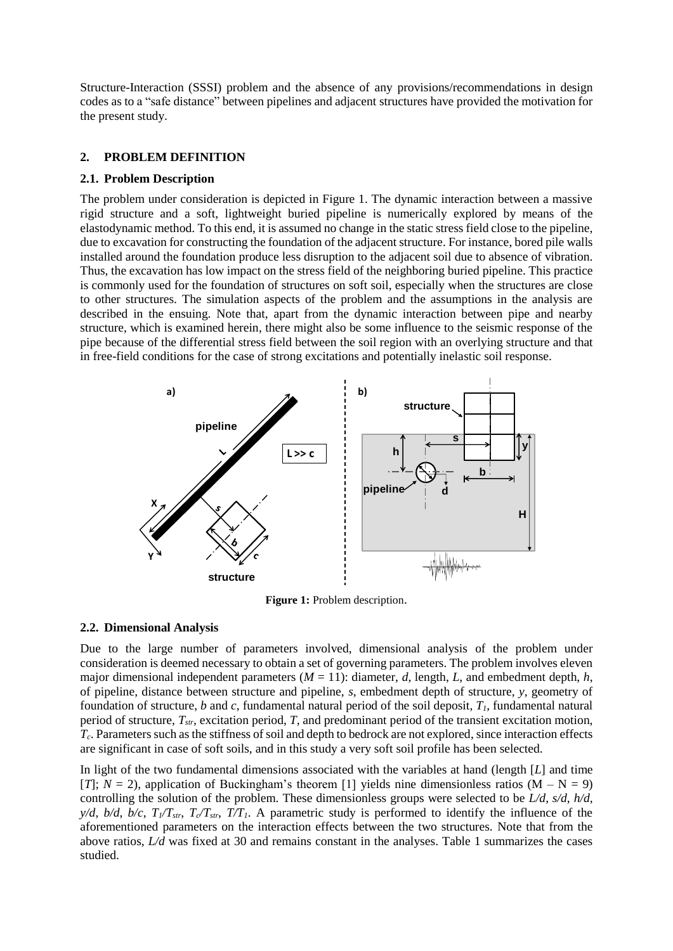Structure-Interaction (SSSI) problem and the absence of any provisions/recommendations in design codes as to a "safe distance" between pipelines and adjacent structures have provided the motivation for the present study.

# **2. PROBLEM DEFINITION**

# **2.1. Problem Description**

The problem under consideration is depicted in Figure 1. The dynamic interaction between a massive rigid structure and a soft, lightweight buried pipeline is numerically explored by means of the elastodynamic method. To this end, it is assumed no change in the static stress field close to the pipeline, due to excavation for constructing the foundation of the adjacent structure. For instance, bored pile walls installed around the foundation produce less disruption to the adjacent soil due to absence of vibration. Thus, the excavation has low impact on the stress field of the neighboring buried pipeline. This practice is commonly used for the foundation of structures on soft soil, especially when the structures are close to other structures. The simulation aspects of the problem and the assumptions in the analysis are described in the ensuing. Note that, apart from the dynamic interaction between pipe and nearby structure, which is examined herein, there might also be some influence to the seismic response of the pipe because of the differential stress field between the soil region with an overlying structure and that in free-field conditions for the case of strong excitations and potentially inelastic soil response.



**Figure 1:** Problem description.

# **2.2. Dimensional Analysis**

Due to the large number of parameters involved, dimensional analysis of the problem under consideration is deemed necessary to obtain a set of governing parameters. The problem involves eleven major dimensional independent parameters  $(M = 11)$ : diameter, *d*, length, *L*, and embedment depth, *h*, of pipeline, distance between structure and pipeline, *s*, embedment depth of structure, *y*, geometry of foundation of structure, *b* and *c*, fundamental natural period of the soil deposit, *T1*, fundamental natural period of structure, *Tstr*, excitation period, *T*, and predominant period of the transient excitation motion, *Tc*. Parameters such as the stiffness of soil and depth to bedrock are not explored, since interaction effects are significant in case of soft soils, and in this study a very soft soil profile has been selected.

In light of the two fundamental dimensions associated with the variables at hand (length [*L*] and time [*T*];  $N = 2$ ), application of Buckingham's theorem [1] yields nine dimensionless ratios (M – N = 9) controlling the solution of the problem. These dimensionless groups were selected to be *L/d*, *s/d*, *h/d*, *y/d, b/d, b/c,*  $T_1/T_{str}$ *,*  $T_2/T_{str}$ *,*  $T_1/T_1$ *. A parametric study is performed to identify the influence of the* aforementioned parameters on the interaction effects between the two structures. Note that from the above ratios, *L/d* was fixed at 30 and remains constant in the analyses. Table 1 summarizes the cases studied.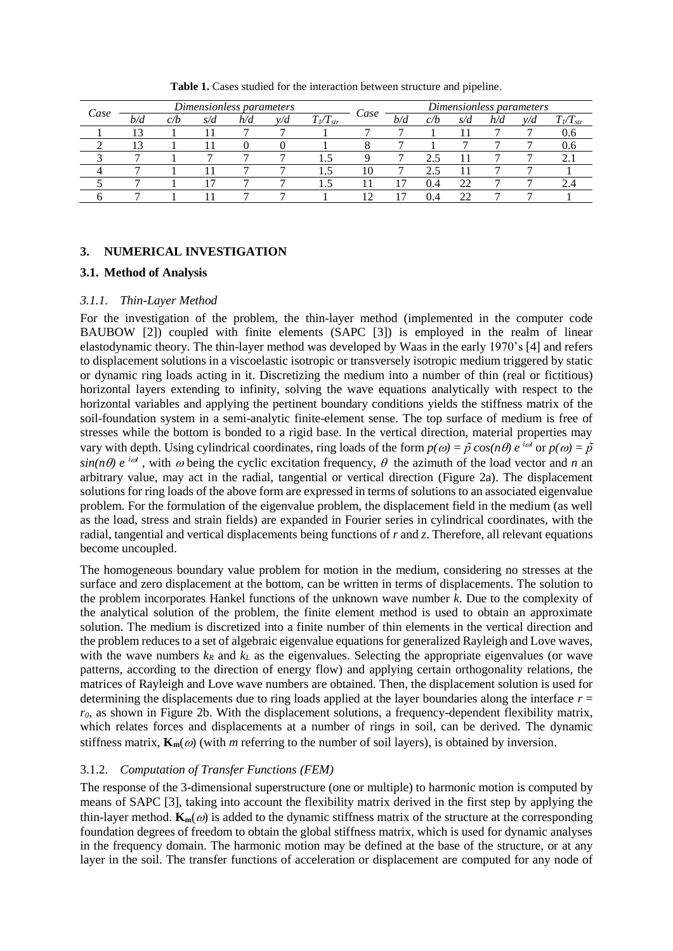| Case | Dimensionless parameters |     |     |     |     |               |      | Dimensionless parameters |     |     |     |     |                 |
|------|--------------------------|-----|-----|-----|-----|---------------|------|--------------------------|-----|-----|-----|-----|-----------------|
|      | b/d                      | C/D | s/d | h/d | v/d | $T_l/T_{str}$ | Case | b/d                      | C/D | s/d | n/d | v/a | $T_{l}/T_{str}$ |
|      |                          |     |     |     |     |               |      |                          |     |     |     |     | V.O             |
|      | 13                       |     |     |     |     |               |      |                          |     |     |     |     | J.O             |
|      |                          |     |     |     |     |               |      |                          |     |     |     |     | ر               |
|      |                          |     |     |     |     |               |      |                          |     |     |     |     |                 |
|      |                          |     |     |     |     |               |      |                          | 0.4 | 22  |     |     |                 |
|      |                          |     |     |     |     |               |      |                          | 0.4 |     |     |     |                 |

**Table 1.** Cases studied for the interaction between structure and pipeline.

# **3. NUMERICAL INVESTIGATION**

#### **3.1. Method of Analysis**

## *3.1.1. Thin-Layer Method*

For the investigation of the problem, the thin-layer method (implemented in the computer code BAUBOW [2]) coupled with finite elements (SAPC [3]) is employed in the realm of linear elastodynamic theory. The thin-layer method was developed by Waas in the early 1970's [4] and refers to displacement solutions in a viscoelastic isotropic or transversely isotropic medium triggered by static or dynamic ring loads acting in it. Discretizing the medium into a number of thin (real or fictitious) horizontal layers extending to infinity, solving the wave equations analytically with respect to the horizontal variables and applying the pertinent boundary conditions yields the stiffness matrix of the soil-foundation system in a semi-analytic finite-element sense. The top surface of medium is free of stresses while the bottom is bonded to a rigid base. In the vertical direction, material properties may vary with depth. Using cylindrical coordinates, ring loads of the form  $p(\omega) = \tilde{p} \cos(n\theta) e^{i\omega t}$  or  $p(\omega) = \tilde{p}$  $sin(n\theta) e^{i\omega t}$ , with  $\omega$  being the cyclic excitation frequency,  $\theta$  the azimuth of the load vector and *n* an arbitrary value, may act in the radial, tangential or vertical direction (Figure 2a). The displacement solutions for ring loads of the above form are expressed in terms of solutions to an associated eigenvalue problem. For the formulation of the eigenvalue problem, the displacement field in the medium (as well as the load, stress and strain fields) are expanded in Fourier series in cylindrical coordinates, with the radial, tangential and vertical displacements being functions of *r* and *z*. Therefore, all relevant equations become uncoupled.

The homogeneous boundary value problem for motion in the medium, considering no stresses at the surface and zero displacement at the bottom, can be written in terms of displacements. The solution to the problem incorporates Hankel functions of the unknown wave number *k*. Due to the complexity of the analytical solution of the problem, the finite element method is used to obtain an approximate solution. The medium is discretized into a finite number of thin elements in the vertical direction and the problem reduces to a set of algebraic eigenvalue equations for generalized Rayleigh and Love waves, with the wave numbers  $k_R$  and  $k_L$  as the eigenvalues. Selecting the appropriate eigenvalues (or wave patterns, according to the direction of energy flow) and applying certain orthogonality relations, the matrices of Rayleigh and Love wave numbers are obtained. Then, the displacement solution is used for determining the displacements due to ring loads applied at the layer boundaries along the interface  $r =$ *r0*, as shown in Figure 2b. With the displacement solutions, a frequency-dependent flexibility matrix, which relates forces and displacements at a number of rings in soil, can be derived. The dynamic stiffness matrix,  $\mathbf{K}_m(\omega)$  (with *m* referring to the number of soil layers), is obtained by inversion.

# 3.1.2. *Computation of Transfer Functions (FEM)*

The response of the 3-dimensional superstructure (one or multiple) to harmonic motion is computed by means of SAPC [3], taking into account the flexibility matrix derived in the first step by applying the thin-layer method.  $\mathbf{K}_m(\omega)$  is added to the dynamic stiffness matrix of the structure at the corresponding foundation degrees of freedom to obtain the global stiffness matrix, which is used for dynamic analyses in the frequency domain. The harmonic motion may be defined at the base of the structure, or at any layer in the soil. The transfer functions of acceleration or displacement are computed for any node of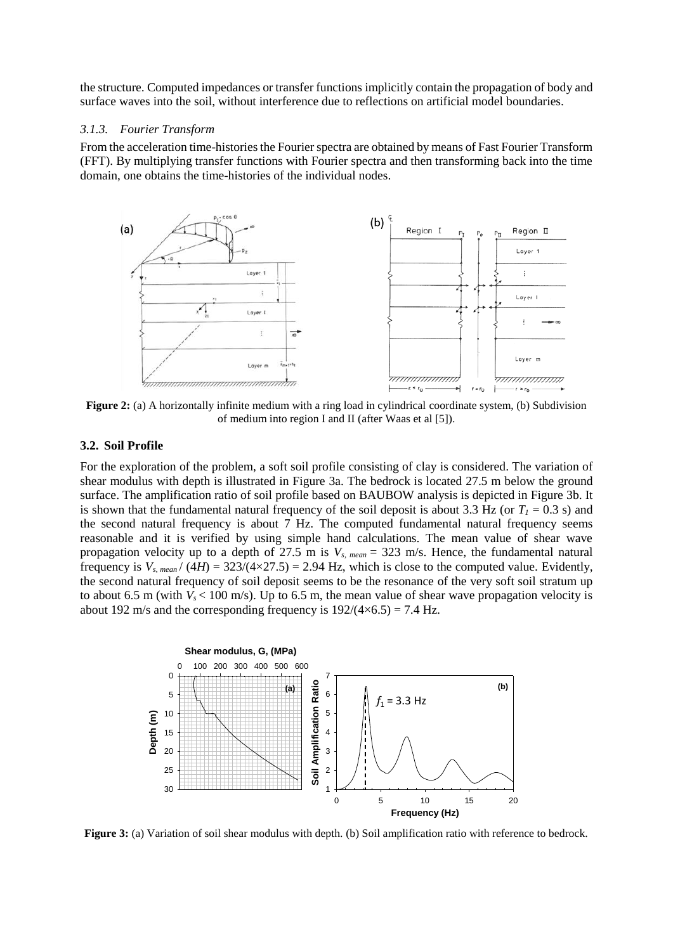the structure. Computed impedances or transfer functions implicitly contain the propagation of body and surface waves into the soil, without interference due to reflections on artificial model boundaries.

#### *3.1.3. Fourier Transform*

From the acceleration time-histories the Fourier spectra are obtained by means of Fast Fourier Transform (FFT). By multiplying transfer functions with Fourier spectra and then transforming back into the time domain, one obtains the time-histories of the individual nodes.



**Figure 2:** (a) A horizontally infinite medium with a ring load in cylindrical coordinate system, (b) Subdivision of medium into region I and II (after Waas et al [5]).

#### **3.2. Soil Profile**

For the exploration of the problem, a soft soil profile consisting of clay is considered. The variation of shear modulus with depth is illustrated in Figure 3a. The bedrock is located 27.5 m below the ground surface. The amplification ratio of soil profile based on BAUBOW analysis is depicted in Figure 3b. It is shown that the fundamental natural frequency of the soil deposit is about 3.3 Hz (or  $T<sub>I</sub> = 0.3$  s) and the second natural frequency is about 7 Hz. The computed fundamental natural frequency seems reasonable and it is verified by using simple hand calculations. The mean value of shear wave propagation velocity up to a depth of 27.5 m is *Vs, mean* = 323 m/s. Hence, the fundamental natural frequency is  $V_{s,mean}$  / (4*H*) = 323/(4×27.5) = 2.94 Hz, which is close to the computed value. Evidently, the second natural frequency of soil deposit seems to be the resonance of the very soft soil stratum up to about 6.5 m (with  $V_s$  < 100 m/s). Up to 6.5 m, the mean value of shear wave propagation velocity is about 192 m/s and the corresponding frequency is  $192/(4 \times 6.5) = 7.4$  Hz.



**Figure 3:** (a) Variation of soil shear modulus with depth. (b) Soil amplification ratio with reference to bedrock.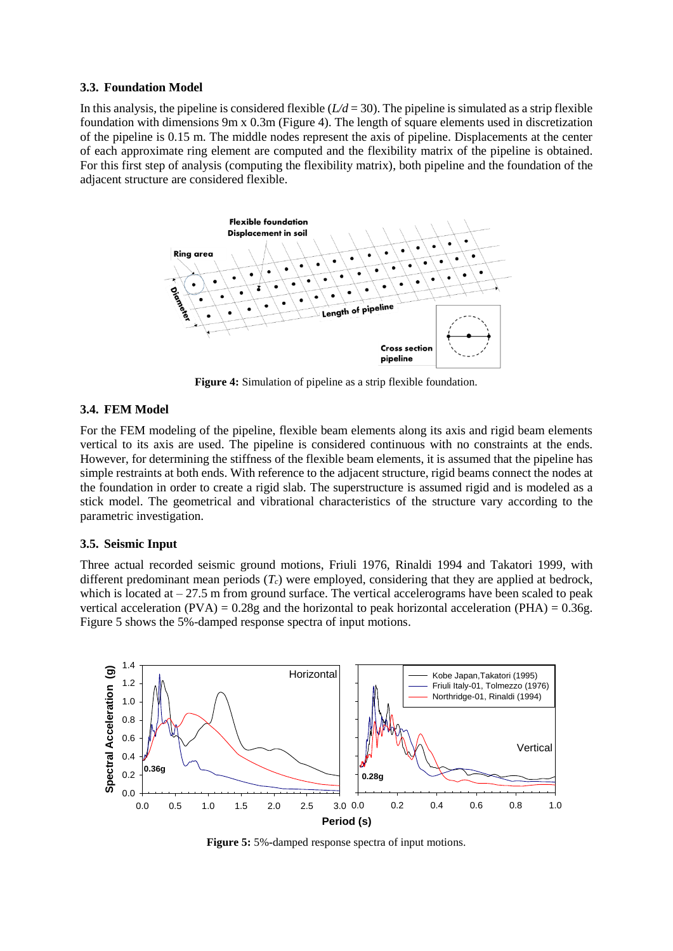#### **3.3. Foundation Model**

In this analysis, the pipeline is considered flexible  $(L/d = 30)$ . The pipeline is simulated as a strip flexible foundation with dimensions 9m x 0.3m (Figure 4). The length of square elements used in discretization of the pipeline is 0.15 m. The middle nodes represent the axis of pipeline. Displacements at the center of each approximate ring element are computed and the flexibility matrix of the pipeline is obtained. For this first step of analysis (computing the flexibility matrix), both pipeline and the foundation of the adjacent structure are considered flexible.



**Figure 4:** Simulation of pipeline as a strip flexible foundation.

# **3.4. FEM Model**

For the FEM modeling of the pipeline, flexible beam elements along its axis and rigid beam elements vertical to its axis are used. The pipeline is considered continuous with no constraints at the ends. However, for determining the stiffness of the flexible beam elements, it is assumed that the pipeline has simple restraints at both ends. With reference to the adjacent structure, rigid beams connect the nodes at the foundation in order to create a rigid slab. The superstructure is assumed rigid and is modeled as a stick model. The geometrical and vibrational characteristics of the structure vary according to the parametric investigation.

# **3.5. Seismic Input**

Three actual recorded seismic ground motions, Friuli 1976, Rinaldi 1994 and Takatori 1999, with different predominant mean periods  $(T_c)$  were employed, considering that they are applied at bedrock, which is located at  $-27.5$  m from ground surface. The vertical accelerograms have been scaled to peak vertical acceleration (PVA) =  $0.28g$  and the horizontal to peak horizontal acceleration (PHA) =  $0.36g$ . Figure 5 shows the 5%-damped response spectra of input motions.



**Figure 5:** 5%**-**damped response spectra of input motions.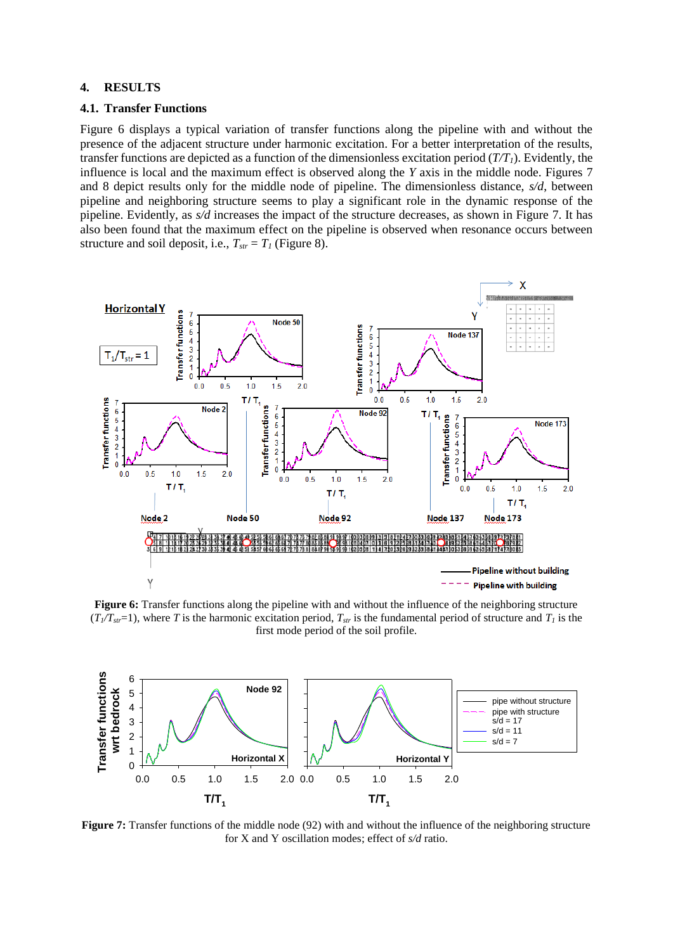## **4. RESULTS**

#### **4.1. Transfer Functions**

Figure 6 displays a typical variation of transfer functions along the pipeline with and without the presence of the adjacent structure under harmonic excitation. For a better interpretation of the results, transfer functions are depicted as a function of the dimensionless excitation period (*T/T1*). Evidently, the influence is local and the maximum effect is observed along the *Y* axis in the middle node. Figures 7 and 8 depict results only for the middle node of pipeline. The dimensionless distance, *s/d*, between pipeline and neighboring structure seems to play a significant role in the dynamic response of the pipeline. Evidently, as *s/d* increases the impact of the structure decreases, as shown in Figure 7. It has also been found that the maximum effect on the pipeline is observed when resonance occurs between structure and soil deposit, i.e.,  $T_{str} = T_I$  (Figure 8).



**Figure 6:** Transfer functions along the pipeline with and without the influence of the neighboring structure  $(T_1/T_{\text{str}}=1)$ , where *T* is the harmonic excitation period,  $T_{\text{str}}$  is the fundamental period of structure and  $T_1$  is the first mode period of the soil profile.



**Figure 7:** Transfer functions of the middle node (92) with and without the influence of the neighboring structure for X and Y oscillation modes; effect of *s/d* ratio.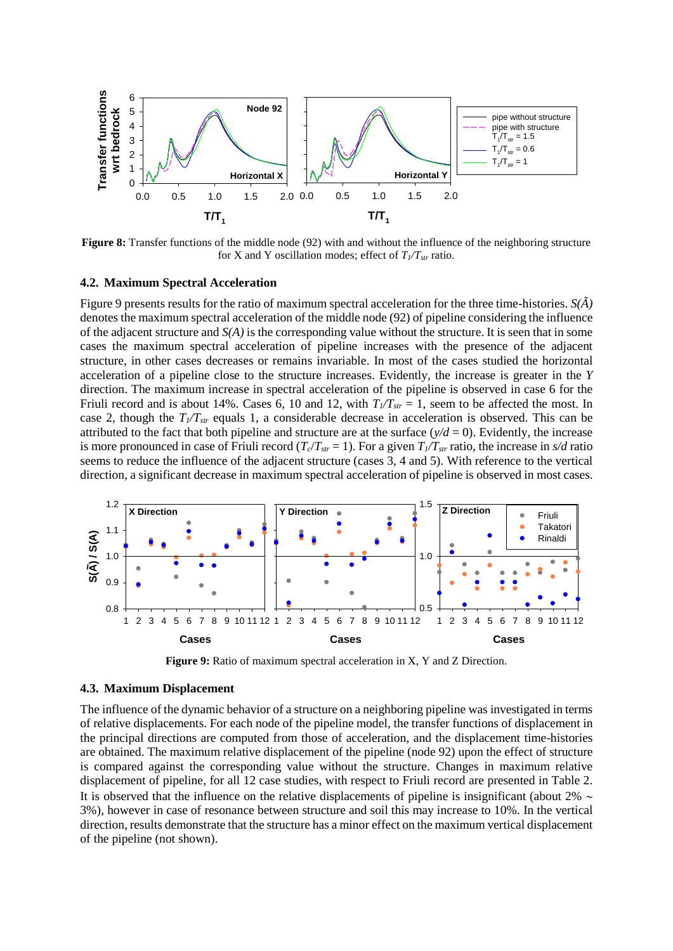

**Figure 8:** Transfer functions of the middle node (92) with and without the influence of the neighboring structure for X and Y oscillation modes; effect of  $T_1/T_{str}$  ratio.

#### **4.2. Maximum Spectral Acceleration**

Figure 9 presents results for the ratio of maximum spectral acceleration for the three time-histories. *S(Ã)* denotes the maximum spectral acceleration of the middle node (92) of pipeline considering the influence of the adjacent structure and *S(A)* is the corresponding value without the structure. It is seen that in some cases the maximum spectral acceleration of pipeline increases with the presence of the adjacent structure, in other cases decreases or remains invariable. In most of the cases studied the horizontal acceleration of a pipeline close to the structure increases. Evidently, the increase is greater in the *Y* direction. The maximum increase in spectral acceleration of the pipeline is observed in case 6 for the Friuli record and is about 14%. Cases 6, 10 and 12, with  $T_1/T_{str} = 1$ , seem to be affected the most. In case 2, though the  $T_f/T_{str}$  equals 1, a considerable decrease in acceleration is observed. This can be attributed to the fact that both pipeline and structure are at the surface  $(y/d = 0)$ . Evidently, the increase is more pronounced in case of Friuli record  $(T_c/T_{str} = 1)$ . For a given  $T_f/T_{str}$  ratio, the increase in  $s/d$  ratio seems to reduce the influence of the adjacent structure (cases 3, 4 and 5). With reference to the vertical direction, a significant decrease in maximum spectral acceleration of pipeline is observed in most cases.



**Figure 9:** Ratio of maximum spectral acceleration in X, Y and Z Direction.

#### **4.3. Maximum Displacement**

The influence of the dynamic behavior of a structure on a neighboring pipeline was investigated in terms of relative displacements. For each node of the pipeline model, the transfer functions of displacement in the principal directions are computed from those of acceleration, and the displacement time-histories are obtained. The maximum relative displacement of the pipeline (node 92) upon the effect of structure is compared against the corresponding value without the structure. Changes in maximum relative displacement of pipeline, for all 12 case studies, with respect to Friuli record are presented in Table 2. It is observed that the influence on the relative displacements of pipeline is insignificant (about  $2\% \sim$ 3%), however in case of resonance between structure and soil this may increase to 10%. In the vertical direction, results demonstrate that the structure has a minor effect on the maximum vertical displacement of the pipeline (not shown).